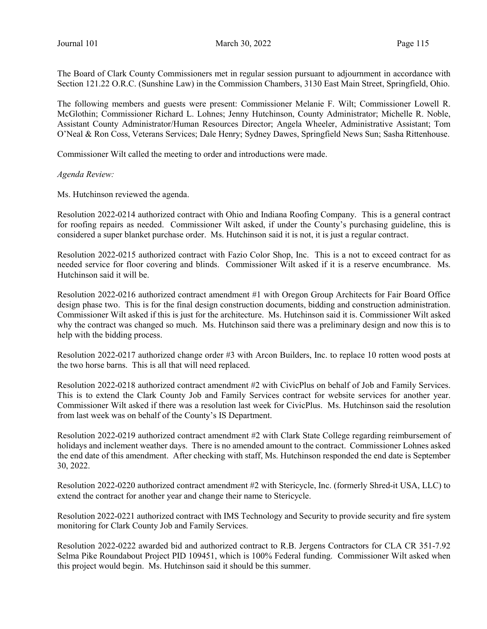The Board of Clark County Commissioners met in regular session pursuant to adjournment in accordance with Section 121.22 O.R.C. (Sunshine Law) in the Commission Chambers, 3130 East Main Street, Springfield, Ohio.

The following members and guests were present: Commissioner Melanie F. Wilt; Commissioner Lowell R. McGlothin; Commissioner Richard L. Lohnes; Jenny Hutchinson, County Administrator; Michelle R. Noble, Assistant County Administrator/Human Resources Director; Angela Wheeler, Administrative Assistant; Tom O'Neal & Ron Coss, Veterans Services; Dale Henry; Sydney Dawes, Springfield News Sun; Sasha Rittenhouse.

Commissioner Wilt called the meeting to order and introductions were made.

#### Agenda Review:

Ms. Hutchinson reviewed the agenda.

Resolution 2022-0214 authorized contract with Ohio and Indiana Roofing Company. This is a general contract for roofing repairs as needed. Commissioner Wilt asked, if under the County's purchasing guideline, this is considered a super blanket purchase order. Ms. Hutchinson said it is not, it is just a regular contract.

Resolution 2022-0215 authorized contract with Fazio Color Shop, Inc. This is a not to exceed contract for as needed service for floor covering and blinds. Commissioner Wilt asked if it is a reserve encumbrance. Ms. Hutchinson said it will be.

Resolution 2022-0216 authorized contract amendment #1 with Oregon Group Architects for Fair Board Office design phase two. This is for the final design construction documents, bidding and construction administration. Commissioner Wilt asked if this is just for the architecture. Ms. Hutchinson said it is. Commissioner Wilt asked why the contract was changed so much. Ms. Hutchinson said there was a preliminary design and now this is to help with the bidding process.

Resolution 2022-0217 authorized change order #3 with Arcon Builders, Inc. to replace 10 rotten wood posts at the two horse barns. This is all that will need replaced.

Resolution 2022-0218 authorized contract amendment #2 with CivicPlus on behalf of Job and Family Services. This is to extend the Clark County Job and Family Services contract for website services for another year. Commissioner Wilt asked if there was a resolution last week for CivicPlus. Ms. Hutchinson said the resolution from last week was on behalf of the County's IS Department.

Resolution 2022-0219 authorized contract amendment #2 with Clark State College regarding reimbursement of holidays and inclement weather days. There is no amended amount to the contract. Commissioner Lohnes asked the end date of this amendment. After checking with staff, Ms. Hutchinson responded the end date is September 30, 2022.

Resolution 2022-0220 authorized contract amendment #2 with Stericycle, Inc. (formerly Shred-it USA, LLC) to extend the contract for another year and change their name to Stericycle.

Resolution 2022-0221 authorized contract with IMS Technology and Security to provide security and fire system monitoring for Clark County Job and Family Services.

Resolution 2022-0222 awarded bid and authorized contract to R.B. Jergens Contractors for CLA CR 351-7.92 Selma Pike Roundabout Project PID 109451, which is 100% Federal funding. Commissioner Wilt asked when this project would begin. Ms. Hutchinson said it should be this summer.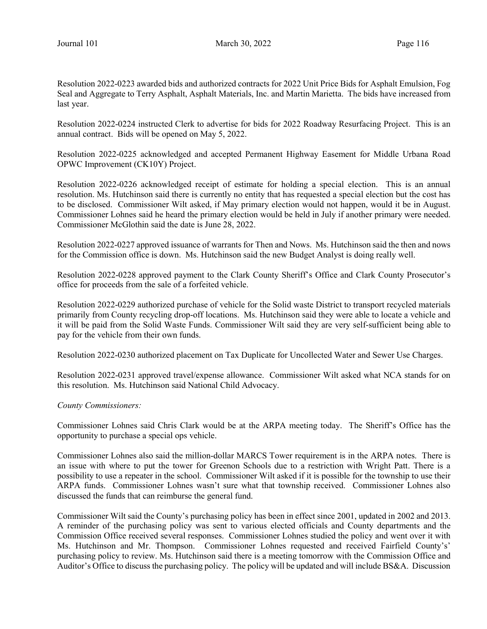Resolution 2022-0223 awarded bids and authorized contracts for 2022 Unit Price Bids for Asphalt Emulsion, Fog Seal and Aggregate to Terry Asphalt, Asphalt Materials, Inc. and Martin Marietta. The bids have increased from last year.

Resolution 2022-0224 instructed Clerk to advertise for bids for 2022 Roadway Resurfacing Project. This is an annual contract. Bids will be opened on May 5, 2022.

Resolution 2022-0225 acknowledged and accepted Permanent Highway Easement for Middle Urbana Road OPWC Improvement (CK10Y) Project.

Resolution 2022-0226 acknowledged receipt of estimate for holding a special election. This is an annual resolution. Ms. Hutchinson said there is currently no entity that has requested a special election but the cost has to be disclosed. Commissioner Wilt asked, if May primary election would not happen, would it be in August. Commissioner Lohnes said he heard the primary election would be held in July if another primary were needed. Commissioner McGlothin said the date is June 28, 2022.

Resolution 2022-0227 approved issuance of warrants for Then and Nows. Ms. Hutchinson said the then and nows for the Commission office is down. Ms. Hutchinson said the new Budget Analyst is doing really well.

Resolution 2022-0228 approved payment to the Clark County Sheriff's Office and Clark County Prosecutor's office for proceeds from the sale of a forfeited vehicle.

Resolution 2022-0229 authorized purchase of vehicle for the Solid waste District to transport recycled materials primarily from County recycling drop-off locations. Ms. Hutchinson said they were able to locate a vehicle and it will be paid from the Solid Waste Funds. Commissioner Wilt said they are very self-sufficient being able to pay for the vehicle from their own funds.

Resolution 2022-0230 authorized placement on Tax Duplicate for Uncollected Water and Sewer Use Charges.

Resolution 2022-0231 approved travel/expense allowance. Commissioner Wilt asked what NCA stands for on this resolution. Ms. Hutchinson said National Child Advocacy.

#### County Commissioners:

Commissioner Lohnes said Chris Clark would be at the ARPA meeting today. The Sheriff's Office has the opportunity to purchase a special ops vehicle.

Commissioner Lohnes also said the million-dollar MARCS Tower requirement is in the ARPA notes. There is an issue with where to put the tower for Greenon Schools due to a restriction with Wright Patt. There is a possibility to use a repeater in the school. Commissioner Wilt asked if it is possible for the township to use their ARPA funds. Commissioner Lohnes wasn't sure what that township received. Commissioner Lohnes also discussed the funds that can reimburse the general fund.

Commissioner Wilt said the County's purchasing policy has been in effect since 2001, updated in 2002 and 2013. A reminder of the purchasing policy was sent to various elected officials and County departments and the Commission Office received several responses. Commissioner Lohnes studied the policy and went over it with Ms. Hutchinson and Mr. Thompson. Commissioner Lohnes requested and received Fairfield County's' purchasing policy to review. Ms. Hutchinson said there is a meeting tomorrow with the Commission Office and Auditor's Office to discuss the purchasing policy. The policy will be updated and will include BS&A. Discussion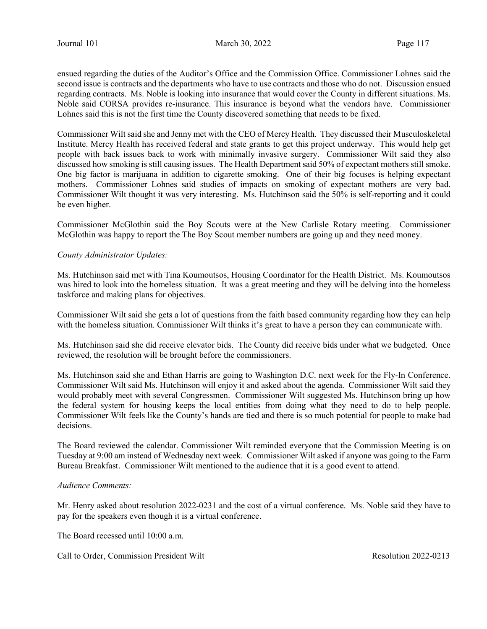ensued regarding the duties of the Auditor's Office and the Commission Office. Commissioner Lohnes said the second issue is contracts and the departments who have to use contracts and those who do not. Discussion ensued regarding contracts. Ms. Noble is looking into insurance that would cover the County in different situations. Ms. Noble said CORSA provides re-insurance. This insurance is beyond what the vendors have. Commissioner Lohnes said this is not the first time the County discovered something that needs to be fixed.

Commissioner Wilt said she and Jenny met with the CEO of Mercy Health. They discussed their Musculoskeletal Institute. Mercy Health has received federal and state grants to get this project underway. This would help get people with back issues back to work with minimally invasive surgery. Commissioner Wilt said they also discussed how smoking is still causing issues. The Health Department said 50% of expectant mothers still smoke. One big factor is marijuana in addition to cigarette smoking. One of their big focuses is helping expectant mothers. Commissioner Lohnes said studies of impacts on smoking of expectant mothers are very bad. Commissioner Wilt thought it was very interesting. Ms. Hutchinson said the 50% is self-reporting and it could be even higher.

Commissioner McGlothin said the Boy Scouts were at the New Carlisle Rotary meeting. Commissioner McGlothin was happy to report the The Boy Scout member numbers are going up and they need money.

#### County Administrator Updates:

Ms. Hutchinson said met with Tina Koumoutsos, Housing Coordinator for the Health District. Ms. Koumoutsos was hired to look into the homeless situation. It was a great meeting and they will be delving into the homeless taskforce and making plans for objectives.

Commissioner Wilt said she gets a lot of questions from the faith based community regarding how they can help with the homeless situation. Commissioner Wilt thinks it's great to have a person they can communicate with.

Ms. Hutchinson said she did receive elevator bids. The County did receive bids under what we budgeted. Once reviewed, the resolution will be brought before the commissioners.

Ms. Hutchinson said she and Ethan Harris are going to Washington D.C. next week for the Fly-In Conference. Commissioner Wilt said Ms. Hutchinson will enjoy it and asked about the agenda. Commissioner Wilt said they would probably meet with several Congressmen. Commissioner Wilt suggested Ms. Hutchinson bring up how the federal system for housing keeps the local entities from doing what they need to do to help people. Commissioner Wilt feels like the County's hands are tied and there is so much potential for people to make bad decisions.

The Board reviewed the calendar. Commissioner Wilt reminded everyone that the Commission Meeting is on Tuesday at 9:00 am instead of Wednesday next week. Commissioner Wilt asked if anyone was going to the Farm Bureau Breakfast. Commissioner Wilt mentioned to the audience that it is a good event to attend.

#### Audience Comments:

Mr. Henry asked about resolution 2022-0231 and the cost of a virtual conference. Ms. Noble said they have to pay for the speakers even though it is a virtual conference.

The Board recessed until 10:00 a.m.

Call to Order, Commission President Wilt **Resolution 2022-0213** Resolution 2022-0213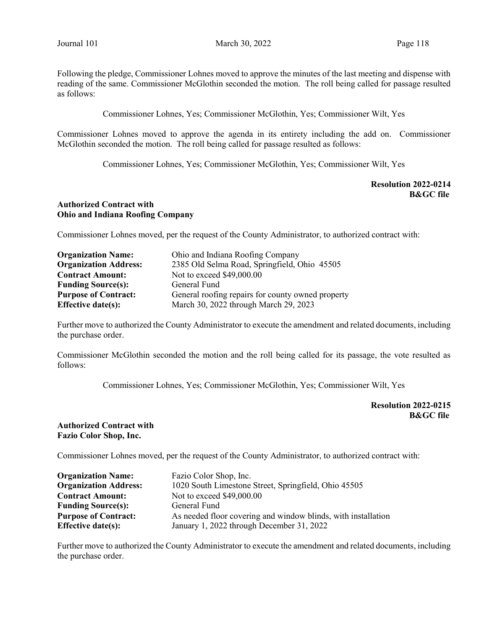Following the pledge, Commissioner Lohnes moved to approve the minutes of the last meeting and dispense with reading of the same. Commissioner McGlothin seconded the motion. The roll being called for passage resulted as follows:

Commissioner Lohnes, Yes; Commissioner McGlothin, Yes; Commissioner Wilt, Yes

Commissioner Lohnes moved to approve the agenda in its entirety including the add on. Commissioner McGlothin seconded the motion. The roll being called for passage resulted as follows:

Commissioner Lohnes, Yes; Commissioner McGlothin, Yes; Commissioner Wilt, Yes

Resolution 2022-0214 B&GC file

## Authorized Contract with Ohio and Indiana Roofing Company

Commissioner Lohnes moved, per the request of the County Administrator, to authorized contract with:

| <b>Organization Name:</b>    | Ohio and Indiana Roofing Company                  |  |  |  |
|------------------------------|---------------------------------------------------|--|--|--|
| <b>Organization Address:</b> | 2385 Old Selma Road, Springfield, Ohio 45505      |  |  |  |
| <b>Contract Amount:</b>      | Not to exceed \$49,000.00                         |  |  |  |
| <b>Funding Source(s):</b>    | General Fund                                      |  |  |  |
| <b>Purpose of Contract:</b>  | General roofing repairs for county owned property |  |  |  |
| <b>Effective date(s):</b>    | March 30, 2022 through March 29, 2023             |  |  |  |

Further move to authorized the County Administrator to execute the amendment and related documents, including the purchase order.

Commissioner McGlothin seconded the motion and the roll being called for its passage, the vote resulted as follows:

Commissioner Lohnes, Yes; Commissioner McGlothin, Yes; Commissioner Wilt, Yes

Resolution 2022-0215 B&GC file

#### Authorized Contract with Fazio Color Shop, Inc.

Commissioner Lohnes moved, per the request of the County Administrator, to authorized contract with:

| <b>Organization Name:</b>    | Fazio Color Shop, Inc.                                        |  |  |  |  |
|------------------------------|---------------------------------------------------------------|--|--|--|--|
| <b>Organization Address:</b> | 1020 South Limestone Street, Springfield, Ohio 45505          |  |  |  |  |
| <b>Contract Amount:</b>      | Not to exceed \$49,000.00                                     |  |  |  |  |
| <b>Funding Source(s):</b>    | General Fund                                                  |  |  |  |  |
| <b>Purpose of Contract:</b>  | As needed floor covering and window blinds, with installation |  |  |  |  |
| <b>Effective date(s):</b>    | January 1, 2022 through December 31, 2022                     |  |  |  |  |

Further move to authorized the County Administrator to execute the amendment and related documents, including the purchase order.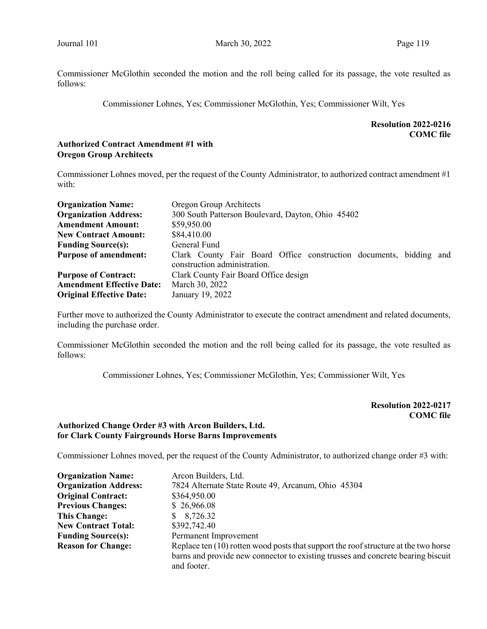Commissioner McGlothin seconded the motion and the roll being called for its passage, the vote resulted as follows:

Commissioner Lohnes, Yes; Commissioner McGlothin, Yes; Commissioner Wilt, Yes

Resolution 2022-0216 COMC file

## Authorized Contract Amendment #1 with Oregon Group Architects

Commissioner Lohnes moved, per the request of the County Administrator, to authorized contract amendment #1 with:

| <b>Organization Name:</b>        | Oregon Group Architects                                                                            |  |  |  |  |  |
|----------------------------------|----------------------------------------------------------------------------------------------------|--|--|--|--|--|
| <b>Organization Address:</b>     | 300 South Patterson Boulevard, Dayton, Ohio 45402                                                  |  |  |  |  |  |
| <b>Amendment Amount:</b>         | \$59,950.00                                                                                        |  |  |  |  |  |
| <b>New Contract Amount:</b>      | \$84,410.00                                                                                        |  |  |  |  |  |
| <b>Funding Source(s):</b>        | General Fund                                                                                       |  |  |  |  |  |
| <b>Purpose of amendment:</b>     | Clark County Fair Board Office construction documents, bidding and<br>construction administration. |  |  |  |  |  |
| <b>Purpose of Contract:</b>      | Clark County Fair Board Office design                                                              |  |  |  |  |  |
| <b>Amendment Effective Date:</b> | March 30, 2022                                                                                     |  |  |  |  |  |
| <b>Original Effective Date:</b>  | January 19, 2022                                                                                   |  |  |  |  |  |

Further move to authorized the County Administrator to execute the contract amendment and related documents, including the purchase order.

Commissioner McGlothin seconded the motion and the roll being called for its passage, the vote resulted as follows:

Commissioner Lohnes, Yes; Commissioner McGlothin, Yes; Commissioner Wilt, Yes

Resolution 2022-0217 COMC file

# Authorized Change Order #3 with Arcon Builders, Ltd. for Clark County Fairgrounds Horse Barns Improvements

Commissioner Lohnes moved, per the request of the County Administrator, to authorized change order #3 with:

| <b>Organization Name:</b>                                                          | Arcon Builders, Ltd.                                                                |  |  |  |
|------------------------------------------------------------------------------------|-------------------------------------------------------------------------------------|--|--|--|
| <b>Organization Address:</b><br>7824 Alternate State Route 49, Arcanum, Ohio 45304 |                                                                                     |  |  |  |
| <b>Original Contract:</b><br>\$364,950.00                                          |                                                                                     |  |  |  |
| <b>Previous Changes:</b>                                                           | \$26,966.08                                                                         |  |  |  |
| <b>This Change:</b>                                                                | 8,726.32                                                                            |  |  |  |
| <b>New Contract Total:</b>                                                         | \$392,742.40                                                                        |  |  |  |
| <b>Funding Source(s):</b>                                                          | Permanent Improvement                                                               |  |  |  |
| <b>Reason for Change:</b>                                                          | Replace ten (10) rotten wood posts that support the roof structure at the two horse |  |  |  |
|                                                                                    | barns and provide new connector to existing trusses and concrete bearing biscuit    |  |  |  |
|                                                                                    | and footer.                                                                         |  |  |  |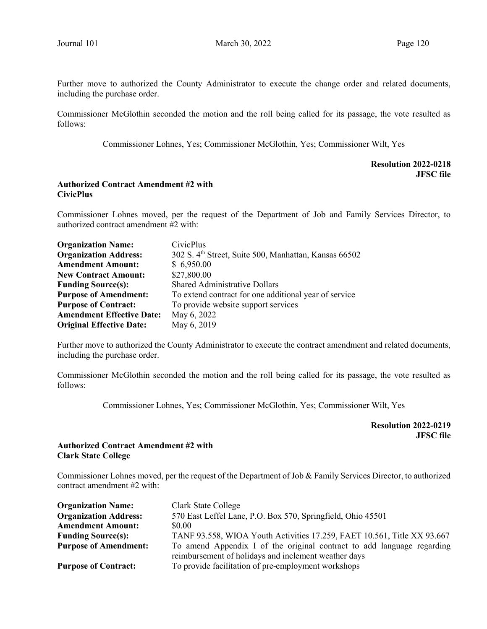Further move to authorized the County Administrator to execute the change order and related documents, including the purchase order.

Commissioner McGlothin seconded the motion and the roll being called for its passage, the vote resulted as follows:

Commissioner Lohnes, Yes; Commissioner McGlothin, Yes; Commissioner Wilt, Yes

## Resolution 2022-0218 JFSC file

## Authorized Contract Amendment #2 with CivicPlus

Commissioner Lohnes moved, per the request of the Department of Job and Family Services Director, to authorized contract amendment #2 with:

| <b>Organization Name:</b>        | CivicPlus                                                         |
|----------------------------------|-------------------------------------------------------------------|
| <b>Organization Address:</b>     | 302 S. 4 <sup>th</sup> Street, Suite 500, Manhattan, Kansas 66502 |
| <b>Amendment Amount:</b>         | \$6,950.00                                                        |
| <b>New Contract Amount:</b>      | \$27,800.00                                                       |
| <b>Funding Source(s):</b>        | <b>Shared Administrative Dollars</b>                              |
| <b>Purpose of Amendment:</b>     | To extend contract for one additional year of service             |
| <b>Purpose of Contract:</b>      | To provide website support services                               |
| <b>Amendment Effective Date:</b> | May 6, 2022                                                       |
| <b>Original Effective Date:</b>  | May 6, 2019                                                       |

Further move to authorized the County Administrator to execute the contract amendment and related documents, including the purchase order.

Commissioner McGlothin seconded the motion and the roll being called for its passage, the vote resulted as follows:

Commissioner Lohnes, Yes; Commissioner McGlothin, Yes; Commissioner Wilt, Yes

Resolution 2022-0219 JFSC file

## Authorized Contract Amendment #2 with Clark State College

Commissioner Lohnes moved, per the request of the Department of Job & Family Services Director, to authorized contract amendment #2 with:

| <b>Organization Name:</b>    | Clark State College                                                                                                            |
|------------------------------|--------------------------------------------------------------------------------------------------------------------------------|
| <b>Organization Address:</b> | 570 East Leffel Lane, P.O. Box 570, Springfield, Ohio 45501                                                                    |
| <b>Amendment Amount:</b>     | \$0.00                                                                                                                         |
| <b>Funding Source(s):</b>    | TANF 93.558, WIOA Youth Activities 17.259, FAET 10.561, Title XX 93.667                                                        |
| <b>Purpose of Amendment:</b> | To amend Appendix I of the original contract to add language regarding<br>reimbursement of holidays and inclement weather days |
| <b>Purpose of Contract:</b>  | To provide facilitation of pre-employment workshops                                                                            |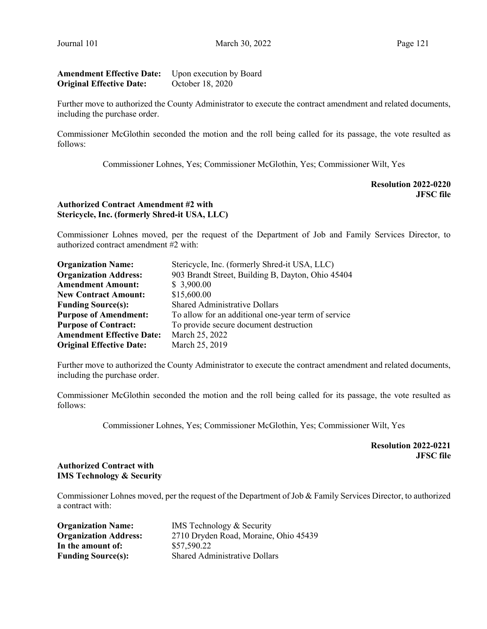# Amendment Effective Date: Upon execution by Board Original Effective Date: October 18, 2020

Further move to authorized the County Administrator to execute the contract amendment and related documents, including the purchase order.

Commissioner McGlothin seconded the motion and the roll being called for its passage, the vote resulted as follows:

Commissioner Lohnes, Yes; Commissioner McGlothin, Yes; Commissioner Wilt, Yes

Resolution 2022-0220 JFSC file

# Authorized Contract Amendment #2 with Stericycle, Inc. (formerly Shred-it USA, LLC)

Commissioner Lohnes moved, per the request of the Department of Job and Family Services Director, to authorized contract amendment #2 with:

| <b>Organization Name:</b>                                         | Stericycle, Inc. (formerly Shred-it USA, LLC)       |  |  |
|-------------------------------------------------------------------|-----------------------------------------------------|--|--|
| <b>Organization Address:</b>                                      | 903 Brandt Street, Building B, Dayton, Ohio 45404   |  |  |
| <b>Amendment Amount:</b><br>\$3,900.00                            |                                                     |  |  |
| \$15,600.00<br><b>New Contract Amount:</b>                        |                                                     |  |  |
| <b>Shared Administrative Dollars</b><br><b>Funding Source(s):</b> |                                                     |  |  |
| <b>Purpose of Amendment:</b>                                      | To allow for an additional one-year term of service |  |  |
| <b>Purpose of Contract:</b>                                       | To provide secure document destruction              |  |  |
| <b>Amendment Effective Date:</b>                                  | March 25, 2022                                      |  |  |
| <b>Original Effective Date:</b>                                   | March 25, 2019                                      |  |  |

Further move to authorized the County Administrator to execute the contract amendment and related documents, including the purchase order.

Commissioner McGlothin seconded the motion and the roll being called for its passage, the vote resulted as follows:

Commissioner Lohnes, Yes; Commissioner McGlothin, Yes; Commissioner Wilt, Yes

Resolution 2022-0221 JFSC file

# Authorized Contract with IMS Technology & Security

Commissioner Lohnes moved, per the request of the Department of Job & Family Services Director, to authorized a contract with:

| <b>Organization Name:</b>    | <b>IMS</b> Technology & Security      |
|------------------------------|---------------------------------------|
| <b>Organization Address:</b> | 2710 Dryden Road, Moraine, Ohio 45439 |
| In the amount of:            | \$57,590.22                           |
| <b>Funding Source(s):</b>    | <b>Shared Administrative Dollars</b>  |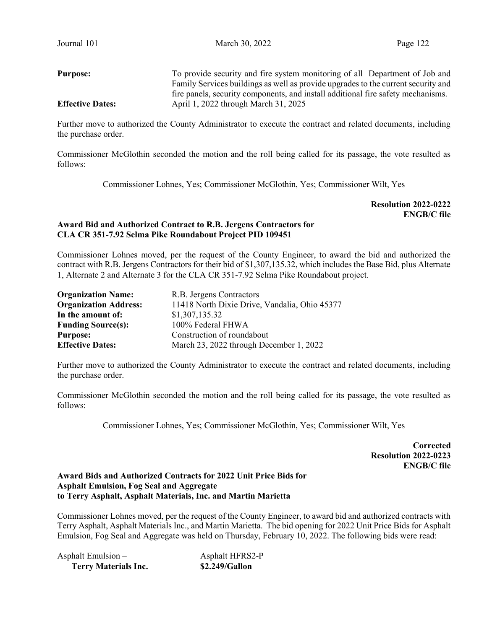Purpose: To provide security and fire system monitoring of all Department of Job and Family Services buildings as well as provide upgrades to the current security and fire panels, security components, and install additional fire safety mechanisms. Effective Dates: April 1, 2022 through March 31, 2025

Further move to authorized the County Administrator to execute the contract and related documents, including the purchase order.

Commissioner McGlothin seconded the motion and the roll being called for its passage, the vote resulted as follows:

Commissioner Lohnes, Yes; Commissioner McGlothin, Yes; Commissioner Wilt, Yes

Resolution 2022-0222 ENGB/C file

## Award Bid and Authorized Contract to R.B. Jergens Contractors for CLA CR 351-7.92 Selma Pike Roundabout Project PID 109451

Commissioner Lohnes moved, per the request of the County Engineer, to award the bid and authorized the contract with R.B. Jergens Contractors for their bid of \$1,307,135.32, which includes the Base Bid, plus Alternate 1, Alternate 2 and Alternate 3 for the CLA CR 351-7.92 Selma Pike Roundabout project.

| <b>Organization Name:</b>    | R.B. Jergens Contractors                      |  |  |  |
|------------------------------|-----------------------------------------------|--|--|--|
| <b>Organization Address:</b> | 11418 North Dixie Drive, Vandalia, Ohio 45377 |  |  |  |
| In the amount of:            | \$1,307,135.32                                |  |  |  |
| <b>Funding Source(s):</b>    | 100% Federal FHWA                             |  |  |  |
| <b>Purpose:</b>              | Construction of roundabout                    |  |  |  |
| <b>Effective Dates:</b>      | March 23, 2022 through December 1, 2022       |  |  |  |

Further move to authorized the County Administrator to execute the contract and related documents, including the purchase order.

Commissioner McGlothin seconded the motion and the roll being called for its passage, the vote resulted as follows:

Commissioner Lohnes, Yes; Commissioner McGlothin, Yes; Commissioner Wilt, Yes

**Corrected**  Resolution 2022-0223 ENGB/C file

## Award Bids and Authorized Contracts for 2022 Unit Price Bids for Asphalt Emulsion, Fog Seal and Aggregate to Terry Asphalt, Asphalt Materials, Inc. and Martin Marietta

Commissioner Lohnes moved, per the request of the County Engineer, to award bid and authorized contracts with Terry Asphalt, Asphalt Materials Inc., and Martin Marietta. The bid opening for 2022 Unit Price Bids for Asphalt Emulsion, Fog Seal and Aggregate was held on Thursday, February 10, 2022. The following bids were read:

Asphalt Emulsion – Asphalt HFRS2-P

Terry Materials Inc. \$2.249/Gallon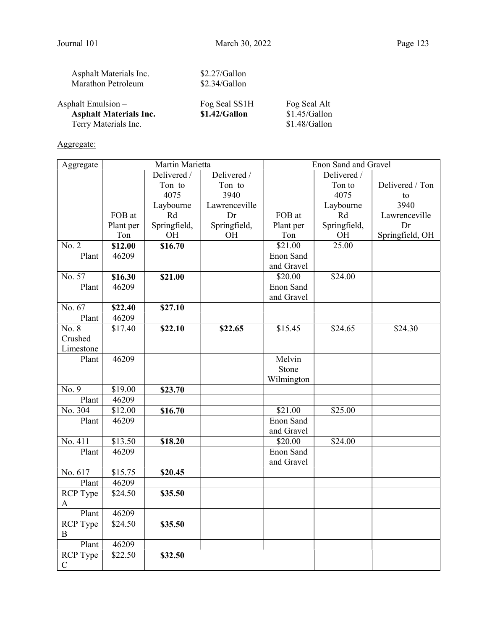| <b>Asphalt Materials Inc.</b>                | \$1.42/Gallon                      | $$1.45/G$ allon |
|----------------------------------------------|------------------------------------|-----------------|
| Asphalt Emulsion –                           | Fog Seal SS1H                      | Fog Seal Alt    |
| Asphalt Materials Inc.<br>Marathon Petroleum | $$2.27/G$ allon<br>$$2.34/G$ allon |                 |

| $1 - 1$              |               |
|----------------------|---------------|
| Terry Materials Inc. | \$1.48/Gallon |

# Aggregate:

| Aggregate       | Martin Marietta |              |               | Enon Sand and Gravel |              |                 |
|-----------------|-----------------|--------------|---------------|----------------------|--------------|-----------------|
|                 |                 | Delivered /  | Delivered /   |                      | Delivered /  |                 |
|                 |                 | Ton to       | Ton to        |                      | Ton to       | Delivered / Ton |
|                 |                 | 4075         | 3940          |                      | 4075         | to              |
|                 |                 | Laybourne    | Lawrenceville |                      | Laybourne    | 3940            |
|                 | FOB at          | Rd           | Dr            | FOB at               | Rd           | Lawrenceville   |
|                 | Plant per       | Springfield, | Springfield,  | Plant per            | Springfield, | Dr              |
|                 | Ton             | OH           | <b>OH</b>     | Ton                  | OH           | Springfield, OH |
| No. 2           | \$12.00         | \$16.70      |               | \$21.00              | 25.00        |                 |
| Plant           | 46209           |              |               | Enon Sand            |              |                 |
|                 |                 |              |               | and Gravel           |              |                 |
| No. 57          | \$16.30         | \$21.00      |               | \$20.00              | \$24.00      |                 |
| Plant           | 46209           |              |               | Enon Sand            |              |                 |
|                 |                 |              |               | and Gravel           |              |                 |
| No. 67          | \$22.40         | \$27.10      |               |                      |              |                 |
| Plant           | 46209           |              |               |                      |              |                 |
| No. 8           | \$17.40         | \$22.10      | \$22.65       | \$15.45              | \$24.65      | \$24.30         |
| Crushed         |                 |              |               |                      |              |                 |
| Limestone       |                 |              |               |                      |              |                 |
| Plant           | 46209           |              |               | Melvin               |              |                 |
|                 |                 |              |               | Stone                |              |                 |
|                 |                 |              |               | Wilmington           |              |                 |
| No. 9           | \$19.00         | \$23.70      |               |                      |              |                 |
| Plant           | 46209           |              |               |                      |              |                 |
| No. 304         | \$12.00         | \$16.70      |               | $\overline{$}21.00$  | \$25.00      |                 |
| Plant           | 46209           |              |               | Enon Sand            |              |                 |
|                 |                 |              |               | and Gravel           |              |                 |
| No. 411         | \$13.50         | \$18.20      |               | \$20.00              | \$24.00      |                 |
| Plant           | 46209           |              |               | Enon Sand            |              |                 |
|                 |                 |              |               | and Gravel           |              |                 |
| No. 617         | \$15.75         | \$20.45      |               |                      |              |                 |
| Plant           | 46209           |              |               |                      |              |                 |
| RCP Type        | \$24.50         | \$35.50      |               |                      |              |                 |
| A               |                 |              |               |                      |              |                 |
| Plant           | 46209           |              |               |                      |              |                 |
| RCP Type        | \$24.50         | \$35.50      |               |                      |              |                 |
| $\bf{B}$        |                 |              |               |                      |              |                 |
| Plant           | 46209           |              |               |                      |              |                 |
| <b>RCP</b> Type | \$22.50         | \$32.50      |               |                      |              |                 |
| $\mathbf C$     |                 |              |               |                      |              |                 |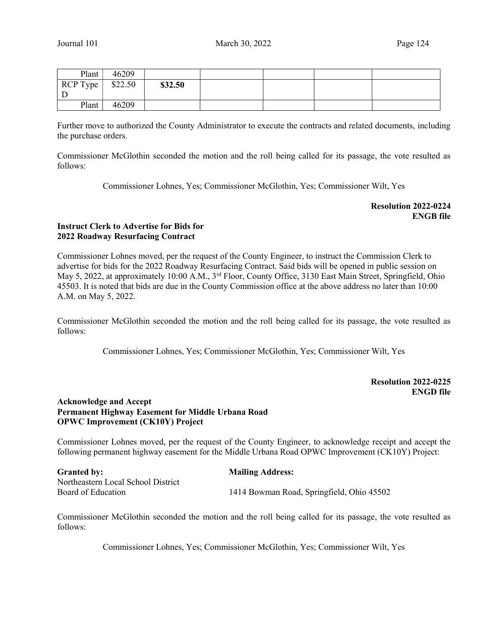| Plant      | 46209   |         |  |  |
|------------|---------|---------|--|--|
| $RCP$ Type | \$22.50 | \$32.50 |  |  |
| D<br>┚     |         |         |  |  |
| Plant      | 46209   |         |  |  |

Further move to authorized the County Administrator to execute the contracts and related documents, including the purchase orders.

Commissioner McGlothin seconded the motion and the roll being called for its passage, the vote resulted as follows:

Commissioner Lohnes, Yes; Commissioner McGlothin, Yes; Commissioner Wilt, Yes

Resolution 2022-0224 ENGB file

## Instruct Clerk to Advertise for Bids for 2022 Roadway Resurfacing Contract

Commissioner Lohnes moved, per the request of the County Engineer, to instruct the Commission Clerk to advertise for bids for the 2022 Roadway Resurfacing Contract. Said bids will be opened in public session on May 5, 2022, at approximately 10:00 A.M., 3<sup>rd</sup> Floor, County Office, 3130 East Main Street, Springfield, Ohio 45503. It is noted that bids are due in the County Commission office at the above address no later than 10:00 A.M. on May 5, 2022.

Commissioner McGlothin seconded the motion and the roll being called for its passage, the vote resulted as follows:

Commissioner Lohnes, Yes; Commissioner McGlothin, Yes; Commissioner Wilt, Yes

# Resolution 2022-0225 ENGD file

# Acknowledge and Accept Permanent Highway Easement for Middle Urbana Road OPWC Improvement (CK10Y) Project

Commissioner Lohnes moved, per the request of the County Engineer, to acknowledge receipt and accept the following permanent highway easement for the Middle Urbana Road OPWC Improvement (CK10Y) Project:

| <b>Granted by:</b>                 | <b>Mailing Address:</b>                   |
|------------------------------------|-------------------------------------------|
| Northeastern Local School District |                                           |
| Board of Education                 | 1414 Bowman Road, Springfield, Ohio 45502 |

Commissioner McGlothin seconded the motion and the roll being called for its passage, the vote resulted as follows:

Commissioner Lohnes, Yes; Commissioner McGlothin, Yes; Commissioner Wilt, Yes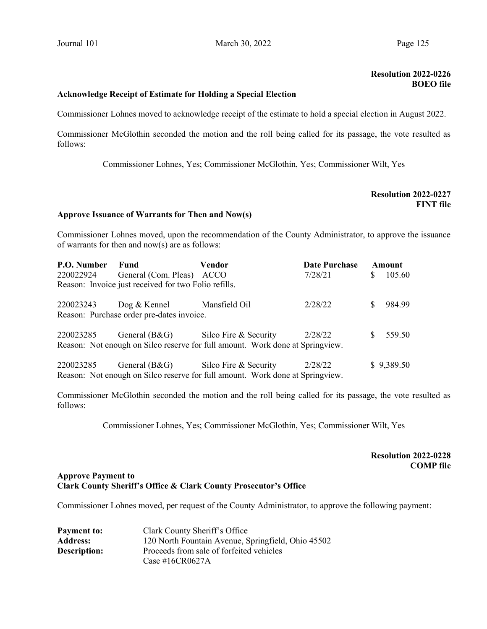# Resolution 2022-0226 BOEO file

#### Acknowledge Receipt of Estimate for Holding a Special Election

Commissioner Lohnes moved to acknowledge receipt of the estimate to hold a special election in August 2022.

Commissioner McGlothin seconded the motion and the roll being called for its passage, the vote resulted as follows:

Commissioner Lohnes, Yes; Commissioner McGlothin, Yes; Commissioner Wilt, Yes

| <b>Resolution 2022-0227</b> |                  |
|-----------------------------|------------------|
|                             | <b>FINT file</b> |

# Approve Issuance of Warrants for Then and Now(s)

Commissioner Lohnes moved, upon the recommendation of the County Administrator, to approve the issuance of warrants for then and now(s) are as follows:

| P.O. Number                                                                   | Fund                                    | Vendor                | <b>Date Purchase</b> |    | Amount     |
|-------------------------------------------------------------------------------|-----------------------------------------|-----------------------|----------------------|----|------------|
| 220022924                                                                     | General (Com. Pleas) ACCO               |                       | 7/28/21              | S. | 105.60     |
| Reason: Invoice just received for two Folio refills.                          |                                         |                       |                      |    |            |
| 220023243                                                                     | $\log \&$ Kennel                        | Mansfield Oil         | 2/28/22              |    | 984.99     |
| Reason: Purchase order pre-dates invoice.                                     |                                         |                       |                      |    |            |
| 220023285                                                                     | General $(B & G)$ Silco Fire & Security |                       | 2/28/22              | S  | 559.50     |
| Reason: Not enough on Silco reserve for full amount. Work done at Springview. |                                         |                       |                      |    |            |
| 220023285                                                                     | General $(B&G)$                         | Silco Fire & Security | 2/28/22              |    | \$9,389.50 |
| Reason: Not enough on Silco reserve for full amount. Work done at Springview. |                                         |                       |                      |    |            |

Commissioner McGlothin seconded the motion and the roll being called for its passage, the vote resulted as follows:

Commissioner Lohnes, Yes; Commissioner McGlothin, Yes; Commissioner Wilt, Yes

# Resolution 2022-0228 COMP file

#### Approve Payment to Clark County Sheriff's Office & Clark County Prosecutor's Office

Commissioner Lohnes moved, per request of the County Administrator, to approve the following payment:

| <b>Payment to:</b>  | Clark County Sheriff's Office                      |
|---------------------|----------------------------------------------------|
| <b>Address:</b>     | 120 North Fountain Avenue, Springfield, Ohio 45502 |
| <b>Description:</b> | Proceeds from sale of forfeited vehicles           |
|                     | Case #16CR0627A                                    |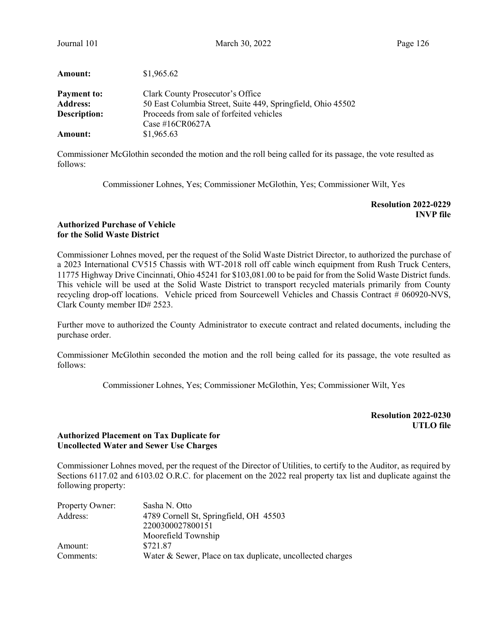| Journal 101                           | March 30, 2022                                                                                  | Page 126 |
|---------------------------------------|-------------------------------------------------------------------------------------------------|----------|
| <b>Amount:</b>                        | \$1,965.62                                                                                      |          |
| <b>Payment to:</b><br><b>Address:</b> | Clark County Prosecutor's Office<br>50 East Columbia Street, Suite 449, Springfield, Ohio 45502 |          |
| Description:                          | Proceeds from sale of forfeited vehicles<br>Case #16CR0627A                                     |          |
| Amount:                               | \$1,965.63                                                                                      |          |

Commissioner McGlothin seconded the motion and the roll being called for its passage, the vote resulted as follows:

Commissioner Lohnes, Yes; Commissioner McGlothin, Yes; Commissioner Wilt, Yes

Resolution 2022-0229 INVP file

## Authorized Purchase of Vehicle for the Solid Waste District

Commissioner Lohnes moved, per the request of the Solid Waste District Director, to authorized the purchase of a 2023 International CV515 Chassis with WT-2018 roll off cable winch equipment from Rush Truck Centers, 11775 Highway Drive Cincinnati, Ohio 45241 for \$103,081.00 to be paid for from the Solid Waste District funds. This vehicle will be used at the Solid Waste District to transport recycled materials primarily from County recycling drop-off locations. Vehicle priced from Sourcewell Vehicles and Chassis Contract # 060920-NVS, Clark County member ID# 2523.

Further move to authorized the County Administrator to execute contract and related documents, including the purchase order.

Commissioner McGlothin seconded the motion and the roll being called for its passage, the vote resulted as follows:

Commissioner Lohnes, Yes; Commissioner McGlothin, Yes; Commissioner Wilt, Yes

Resolution 2022-0230 UTLO file

# Authorized Placement on Tax Duplicate for Uncollected Water and Sewer Use Charges

Commissioner Lohnes moved, per the request of the Director of Utilities, to certify to the Auditor, as required by Sections 6117.02 and 6103.02 O.R.C. for placement on the 2022 real property tax list and duplicate against the following property:

| Property Owner: | Sasha N. Otto                                              |
|-----------------|------------------------------------------------------------|
| Address:        | 4789 Cornell St, Springfield, OH 45503                     |
|                 | 2200300027800151                                           |
|                 | Moorefield Township                                        |
| Amount:         | \$721.87                                                   |
| Comments:       | Water & Sewer, Place on tax duplicate, uncollected charges |